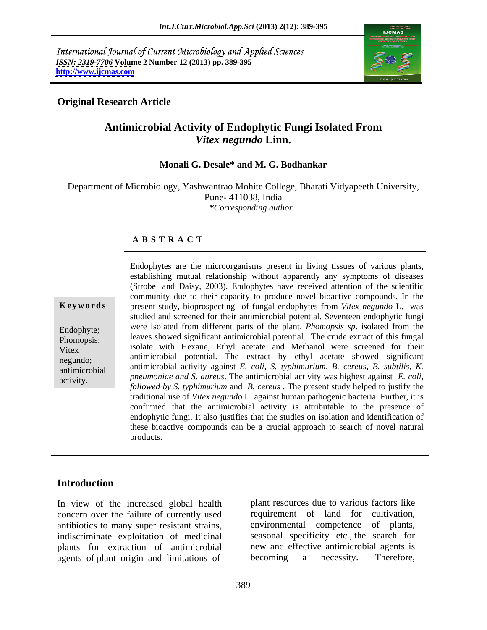International Journal of Current Microbiology and Applied Sciences *ISSN: 2319-7706* **Volume 2 Number 12 (2013) pp. 389-395 <http://www.ijcmas.com>**



### **Original Research Article**

## **Antimicrobial Activity of Endophytic Fungi Isolated From** *Vitex negundo* **Linn.**

### **Monali G. Desale\* and M. G. Bodhankar**

Department of Microbiology, Yashwantrao Mohite College, Bharati Vidyapeeth University, Pune- 411038, India *\*Corresponding author* 

### **A B S T R A C T**

**Ke ywo rds** present study, bioprospecting of fungal endophytes from *Vitex negundo* L. was Endophyte; were isolated from different parts of the plant. *Phomopsis sp.* isolated from the Phomopsis; leaves showed significant antimicrobial potential*.* The crude extract of this fungal Vitex isolate with Hexane, Ethyl acetate and Methanol were screened for their negundo; antimicrobial potential. The extract by ethyl acetate showed significant antimicrobial antimicrobial activity against *E. coli, S. typhimurium, B. cereus, B. subtilis, K.* Endophytes are the microorganisms present in living tissues of various plants,<br>establishing mutual relationship without apparently any symptoms of diseases<br>(Strobel and Daisy, 2003). Endophytes have received attention of (Strobel and Daisy, 2003). Endophytes have received attention of the scientific community due to their capacity to produce novel bioactive compounds. In the studied and screened for their antimicrobial potential. Seventeen endophytic fungi *pneumoniae and S. aureus*. The antimicrobial activity was highest against *E. coli, followed by S. typhimurium* and *B. cereus* . The present study helped to justify the traditional use of *Vitex negundo* L. against human pathogenic bacteria. Further, it is confirmed that the antimicrobial activity is attributable to the presence of endophytic fungi. It also justifies that the studies on isolation and identification of these bioactive compounds can be a crucial approach to search of novel natural products.

## **Introduction**

concern over the failure of currently used antibiotics to many super resistant strains, agents of plant origin and limitations of becoming a necessity. Therefore,

In view of the increased global health plant resources due to various factors like indiscriminate exploitation of medicinal seasonal specificity etc., the search for plants for extraction of antimicrobial new and effective antimicrobial agents is requirement of land for cultivation, environmental competence of plants, becoming a necessity. Therefore,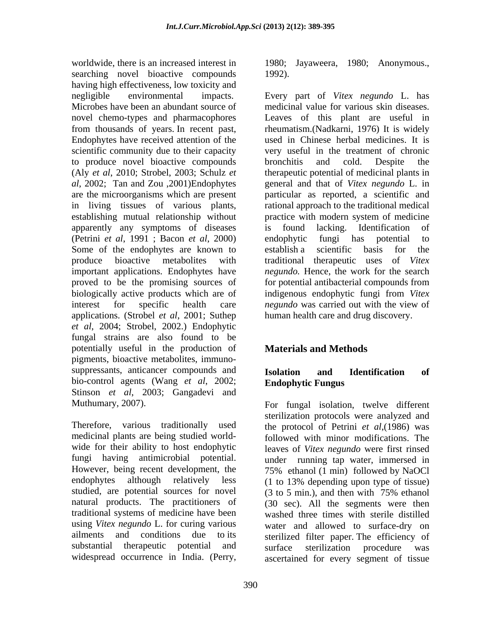worldwide, there is an increased interest in 1980; Jayaweera, 1980; Anonymous., searching novel bioactive compounds 1992). having high effectiveness, low toxicity and negligible environmental impacts. Every part of Vitex negundo L. has to produce novel bioactive compounds bronchitis and cold. Despite the in living tissues of various plants, apparently any symptoms of diseases is found lacking. Identification of (Petrini *et al*, 1991 ; Bacon *et al*, 2000) Some of the endophytes are known to establish a scientific basis for the biologically active products which are of indigenous endophytic fungi from Vitex applications. (Strobel *et al*, 2001; Suthep *et al*, 2004; Strobel, 2002.) Endophytic fungal strains are also found to be potentially useful in the production of **Materials and Methods** pigments, bioactive metabolites, immuno suppressants, anticancer compounds and **Isolation** and **Identification** of bio-control agents (Wang *et al*, 2002; Stinson *et al*, 2003; Gangadevi and

studied, are potential sources for novel  $(3 \text{ to } 5 \text{ min.})$ , and then with 75% ethanol traditional systems of medicine have been using *Vitex negundo* L. for curing various

1992).

Microbes have been an abundant source of medicinal value for various skin diseases. novel chemo-types and pharmacophores Leaves of this plant are useful in from thousands of years. In recent past, rheumatism.(Nadkarni, 1976) It is widely Endophytes have received attention of the used in Chinese herbal medicines. It is scientific community due to their capacity very useful in the treatment of chronic (Aly *et al*, 2010; Strobel, 2003; Schulz *et*  therapeutic potential of medicinal plants in *al*, 2002; Tan and Zou ,2001)Endophytes general and that of *Vitex negundo* L. in are the microorganisms which are present particular as reported, a scientific and establishing mutual relationship without practice with modern system of medicine produce bioactive metabolites with traditional therapeutic uses of Vitex important applications. Endophytes have *negundo.* Hence, the work for the search proved to be the promising sources of for potential antibacterial compounds from interest for specific health care *negundo* was carried out with the view of Every part of *Vitex negundo* L. has bronchitis and cold. Despite the rational approach to the traditional medical is found lacking. Identification of endophytic fungi has potential to establish a scientific basis for the traditional therapeutic uses of *Vitex*  indigenous endophytic fungi from *Vitex*  human health care and drug discovery.

## **Materials and Methods**

## **Isolation and Identification of Endophytic Fungus**

Muthumary, 2007). For fungal isolation, twelve different Subsemington protocols were analyzed and<br>Therefore, various traditionally used<br>the protocol of Petrini et al. (1986) was medicinal plants are being studied world- followed with minor modifications. The wide for their ability to host endophytic leaves of *Vitex negundo* were first rinsed fungi having antimicrobial potential. under running tap water, immersed in However, being recent development, the  $75\%$  ethanol (1 min) followed by NaOCl endophytes although relatively less (1 to 13% depending upon type of tissue) natural products. The practitioners of (30 sec). All the segments were then ailments and conditions due to its sterilized filter paper. The efficiency of substantial therapeutic potential and surface sterilization procedure was widespread occurrence in India. (Perry, ascertained for every segment of tissuesterilization protocols were analyzed and the protocol of Petrini *et al*,(1986) was (3 to 5 min.), and then with 75% ethanol washed three times with sterile distilled water and allowed to surface-dry on surface sterilization procedure was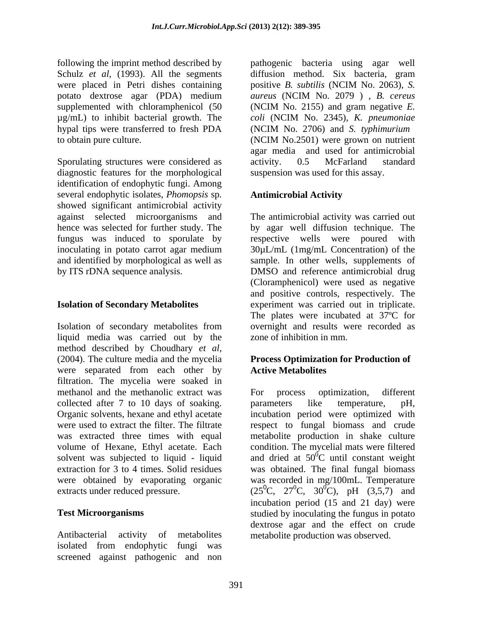following the imprint method described by pathogenic bacteria using agar well Schulz *et al*, (1993). All the segments were placed in Petri dishes containing positive B, subtilis (NCIM No. 2063), S. potato dextrose agar (PDA) medium aureus (NCIM No. 2079), B. cereus supplemented with chloramphenicol  $(50 \t\t (NCIM No. 2155))$  and gram negative E. µg/mL) to inhibit bacterial growth. The *coli* (NCIM No. 2345), *K. pneumoniae*  hypal tips were transferred to fresh PDA (NCIM No. 2706) and S. typhimurium to obtain pure culture. (NCIM No.2501) were grown on nutrient

Sporulating structures were considered as  $\qquad$  activity. 0.5 McFarland standard diagnostic features for the morphological identification of endophytic fungi. Among several endophytic isolates, *Phomopsis* sp*.* showed significant antimicrobial activity against selected microorganisms and

Isolation of secondary metabolites from liquid media was carried out by the method described by Choudhary *et al*,<br>(2004). The culture media and the mycelia **Process Optimization for Production of** were separated from each other by **Active Metabolites** filtration. The mycelia were soaked in methanol and the methanolic extract was For process optimization, different collected after 7 to 10 days of soaking. parameters like temperature, pH, Organic solvents, hexane and ethyl acetate incubation period were optimized with were used to extract the filter. The filtrate respect to fungal biomass and crude was extracted three times with equal metabolite production in shake culture volume of Hexane, Ethyl acetate. Each condition. The mycelial mats were filtered solvent was subjected to liquid - liquid and dried at  $50^0$ C until constant weight extraction for 3 to 4 times. Solid residues was obtained. The final fungal biomass were obtained by evaporating organic was recorded in mg/100mL. Temperature extracts under reduced pressure.  $(25^{\circ}C, 27^{\circ}C, 30^{\circ}C), \text{ pH } (3,5,7)$  and

Antibacterial activity of metabolites metabolite production was observed. isolated from endophytic fungi was screened against pathogenic and non

diffusion method. Six bacteria, gram positive *B. subtilis* (NCIM No. 2063), *S. aureus* (NCIM No. 2079 ) , *B. cereus* (NCIM No. 2155) and gram negative *E.*  (NCIM No. 2706) and *S. typhimurium* (NCIM No.2501) were grown on nutrient agar media and used for antimicrobial activity. 0.5 McFarland standard suspension was used for this assay.

## **Antimicrobial Activity**

hence was selected for further study. The by agar well diffusion technique. The fungus was induced to sporulate by respective wells were poured with inoculating in potato carrot agar medium 30µL/mL (1mg/mL Concentration) of the and identified by morphological as well as sample. In other wells, supplements of by ITS rDNA sequence analysis. DMSO and reference antimicrobial drug **Isolation of Secondary Metabolites**  experiment was carried out in triplicate. The antimicrobial activity was carried out (Cloramphenicol) were used as negative and positive controls, respectively. The The plates were incubated at 37ºC for overnight and results were recorded as zone of inhibition in mm.

## **Process Optimization for Production of Active Metabolites**

**Test Microorganisms**  studied by inoculating the fungus in potato For process optimization, different parameters like temperature, pH,  ${}^{0}C$  until constant weight  ${}^{0}C$ ), pH (3,5,7) and incubation period (15 and 21 day) were dextrose agar and the effect on crude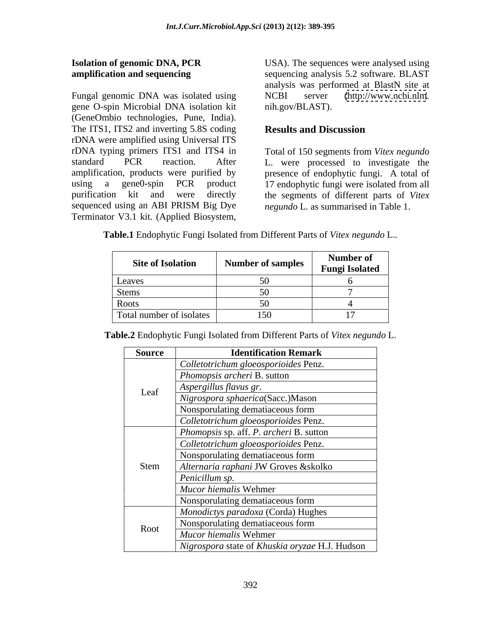Fungal genomic DNA was isolated using NCBI server gene O-spin Microbial DNA isolation kit (GeneOmbio technologies, Pune, India). The ITS1, ITS2 and inverting 5.8S coding Results and Discussion rDNA were amplified using Universal ITS rDNA typing primers ITS1 and ITS4 in Total of 150 segments from *Vitex negundo* standard PCR reaction. After L. were processed to investigate the amplification, products were purified by presence of endophytic fungi. A total of using a gene0-spin PCR product 17 endophytic fungi were isolated from all purification kit and were directly the segments of different parts of *Vitex*  sequenced using an ABI PRISM Big Dye *negundo* L. as summarised in Table 1. **Isolation of genomic DNA, PCR** USA). The sequences were analysed using<br>
amplification and sequencing<br>
Elementic Schware. BLAST<br>
Fungal genomic DNA was isolated using<br>
NGBI server (http://www.ncbi.nlm.<br>
(GeneOmbio technolo

**Isolation of genomic DNA, PCR** USA). The sequences were analysed using **amplification and sequencing** sequencing analysis 5.2 software. BLAST analysis was performed at BlastN site at  $(http://www.ncbi.nlm.nih.gov.$  $(http://www.ncbi.nlm.nih.gov.$ nih.gov/BLAST).

## **Results and Discussion**

*negundo* L. as summarised in Table 1.

**Table.1** Endophytic Fungi Isolated from Different Parts of *Vitex negundo* L.*.*

| <b>Site of Isolation</b> | <b>Number of samples</b> | Number of<br><b>Fungi Isolated</b> |
|--------------------------|--------------------------|------------------------------------|
| Leaves                   |                          |                                    |
| Stems                    |                          |                                    |
| Roots                    |                          |                                    |
| Total number of isolates | 150                      |                                    |

| <b>Source</b> | <b>Identification Remark</b>                   |
|---------------|------------------------------------------------|
|               | Colletotrichum gloeosporioides Penz.           |
|               | <i>Phomopsis archeri B. sutton</i>             |
| Leaf          | Aspergillus flavus gr.                         |
|               | Nigrospora sphaerica(Sacc.)Mason               |
|               | Nonsporulating dematiaceous form               |
|               | Colletotrichum gloeosporioides Penz.           |
|               | Phomopsis sp. aff. P. archeri B. sutton        |
|               | Colletotrichum gloeosporioides Penz.           |
|               | Nonsporulating dematiaceous form               |
| Stem          | Alternaria raphani JW Groves & skolko          |
|               | Penicillum sp.                                 |
|               | Mucor hiemalis Wehmer                          |
|               | Nonsporulating dematiaceous form               |
|               | Monodictys paradoxa (Corda) Hughes             |
| Root          | Nonsporulating dematiaceous form               |
|               | Mucor hiemalis Wehmer                          |
|               | Nigrospora state of Khuskia oryzae H.J. Hudson |

**Table.2** Endophytic Fungi Isolated from Different Parts of *Vitex negundo* L.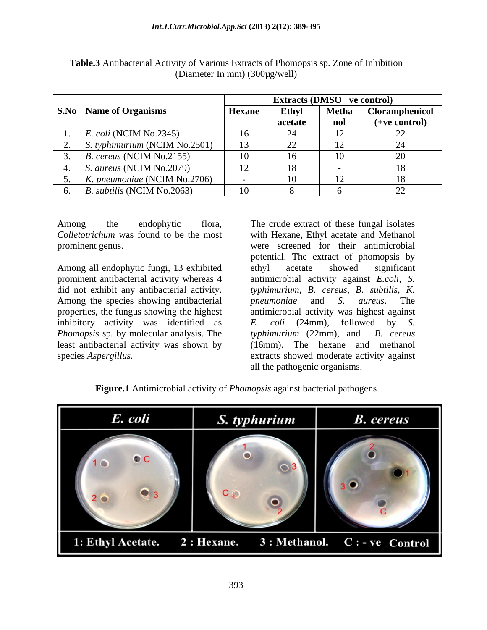|                                          | <b>Extracts (DMSO –ve control)</b> |              |                |                          |
|------------------------------------------|------------------------------------|--------------|----------------|--------------------------|
| <b>S.No</b>   Name of Organisms          | <b>Hexane</b>                      | <b>Ethyl</b> | <b>Metha</b>   | Cloramphenicol           |
|                                          |                                    | acetate      | nol            | (+ve control)            |
| $E.$ <i>coli</i> (NCIM No.2345)          | 16                                 |              | ⊥ ∠            | $\overline{\phantom{0}}$ |
| $\vert$ S. typhimurium (NCIM No.2501)    | 13                                 |              | $\perp$        |                          |
| $\mid$ <i>B. cereus</i> (NCIM No.2155)   | 10                                 |              | 10             |                          |
| <i>S. aureus</i> (NCIM No.2079)          | 12                                 | 18           |                |                          |
| $K$ . pneumoniae (NCIM No.2706)          |                                    | 1V.          | $\overline{ }$ | 18                       |
| $\mid$ <i>B. subtilis</i> (NCIM No.2063) | 10                                 |              |                | 44                       |

**Table.3** Antibacterial Activity of Various Extracts of Phomopsis sp. Zone of Inhibition (Diameter In mm) (300µg/well)

Among all endophytic fungi, 13 exhibited ethyl acetate showed significant prominent antibacterial activity whereas 4 antimicrobial activity against *E.coli*, *S.* did not exhibit any antibacterial activity. typhimurium, B. cereus, B. subtilis, K. Among the species showing antibacterial *pneumoniae* and *S. aureus*. The inhibitory activity was identified as  $E$ . *Phomopsis* sp. by molecular analysis. The typhimurium (22mm), and B. cereus

Among the endophytic flora, The crude extract of these fungal isolates *Colletotrichum* was found to be the most with Hexane, Ethyl acetate and Methanol prominent genus. were screened for their antimicrobial properties, the fungus showing the highest antimicrobial activity was highest against least antibacterial activity was shown by (16mm). The hexane and methanol species *Aspergillus.* extracts showed moderate activity against potential. The extract of phomopsis by ethyl acetate showed significant antimicrobial activity against *E.coli, S.typhimurium, B. cereus, B. subtilis, K. pneumoniae* and *S. aureus*. The *E. coli* (24mm), followed by *S. typhimurium* (22mm), and *B. cereus* all the pathogenic organisms.

**Figure.1** Antimicrobial activity of *Phomopsis* against bacterial pathogens

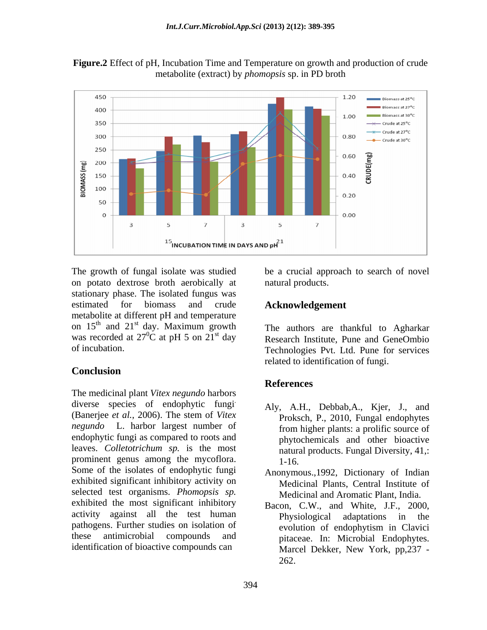

**Figure.2** Effect of pH, Incubation Time and Temperature on growth and production of crude metabolite (extract) by *phomopsis* sp. in PD broth

The growth of fungal isolate was studied be a crucial approach to search of novel on potato dextrose broth aerobically at stationary phase. The isolated fungus was estimated for biomass and crude **Acknowledgement** metabolite at different pH and temperature on  $15<sup>th</sup>$  and  $21<sup>st</sup>$  day. Maximum growth The authors are thankful to Agharkar was recorded at  $27^{\circ}$ C at pH 5 on  $21^{\text{st}}$  day

# **Conclusion**

The medicinal plant *Vitex negundo* harbors diverse species of endophytic fungi (Banerjee *et al.*, 2006). The stem of *Vitex negundo* L. harbor largest number of endophytic fungi as compared to roots and leaves. *Colletotrichum sp.* is the most prominent genus among the mycoflora. 1-16. Some of the isolates of endophytic fungi exhibited significant inhibitory activity on selected test organisms. *Phomopsis sp.* exhibited the most significant inhibitory activity against all the test human Physiological adaptations in the pathogens. Further studies on isolation of evolution of endophytism in Clavici these antimicrobial compounds and pitaceae. In: Microbial Endophytes. identification of bioactive compounds can

natural products.

# **Acknowledgement**

and  $21<sup>st</sup>$  day. Maximum growth The authors are thankful to Agharkar <sup>st</sup> day. Maximum growth The authors are thankful to Agharkar  ${}^{0}C$  at pH 5 on 21<sup>st</sup> day Research Institute. Pune and GeneOmbio st day Research Institute, Pune and GeneOmbio of incubation. Technologies Pvt. Ltd. Pune for services related to identification of fungi.

## **References**

- . Aly, A.H., Debbab,A., Kjer, J., and Proksch, P., 2010, Fungal endophytes from higher plants: a prolific source of phytochemicals and other bioactive natural products. Fungal Diversity, 41,: 1-16.
	- Anonymous.,1992, Dictionary of Indian Medicinal Plants, Central Institute of Medicinal and Aromatic Plant, India.
	- Bacon, C.W., and White, J.F., 2000, Physiological adaptations in the evolution of endophytism in Clavici Marcel Dekker, New York, pp,237 - 262.